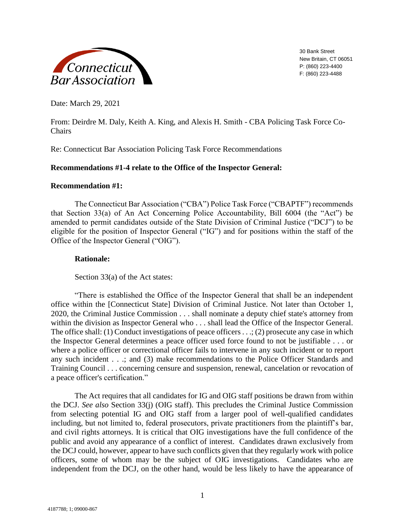

30 Bank Street New Britain, CT 06051 P: (860) 223-4400 F: (860) 223-4488

Date: March 29, 2021

From: Deirdre M. Daly, Keith A. King, and Alexis H. Smith - CBA Policing Task Force Co-Chairs

Re: Connecticut Bar Association Policing Task Force Recommendations

# **Recommendations #1-4 relate to the Office of the Inspector General:**

# **Recommendation #1:**

The Connecticut Bar Association ("CBA") Police Task Force ("CBAPTF") recommends that Section 33(a) of An Act Concerning Police Accountability, Bill 6004 (the "Act") be amended to permit candidates outside of the State Division of Criminal Justice ("DCJ") to be eligible for the position of Inspector General ("IG") and for positions within the staff of the Office of the Inspector General ("OIG").

# **Rationale:**

Section 33(a) of the Act states:

"There is established the Office of the Inspector General that shall be an independent office within the [Connecticut State] Division of Criminal Justice. Not later than October 1, 2020, the Criminal Justice Commission . . . shall nominate a deputy chief state's attorney from within the division as Inspector General who . . . shall lead the Office of the Inspector General. The office shall: (1) Conduct investigations of peace officers  $\dots$ ; (2) prosecute any case in which the Inspector General determines a peace officer used force found to not be justifiable . . . or where a police officer or correctional officer fails to intervene in any such incident or to report any such incident . . .; and (3) make recommendations to the Police Officer Standards and Training Council . . . concerning censure and suspension, renewal, cancelation or revocation of a peace officer's certification."

The Act requires that all candidates for IG and OIG staff positions be drawn from within the DCJ. *See also* Section 33(j) (OIG staff). This precludes the Criminal Justice Commission from selecting potential IG and OIG staff from a larger pool of well-qualified candidates including, but not limited to, federal prosecutors, private practitioners from the plaintiff's bar, and civil rights attorneys. It is critical that OIG investigations have the full confidence of the public and avoid any appearance of a conflict of interest. Candidates drawn exclusively from the DCJ could, however, appear to have such conflicts given that they regularly work with police officers, some of whom may be the subject of OIG investigations. Candidates who are independent from the DCJ, on the other hand, would be less likely to have the appearance of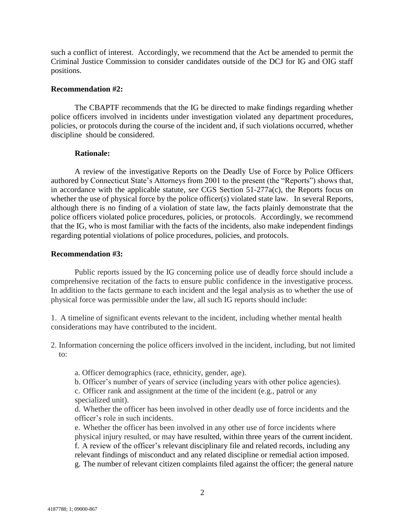such a conflict of interest. Accordingly, we recommend that the Act be amended to permit the Criminal Justice Commission to consider candidates outside of the DCJ for IG and OIG staff positions.

#### **Recommendation #2:**

The CBAPTF recommends that the IG be directed to make findings regarding whether police officers involved in incidents under investigation violated any department procedures, policies, or protocols during the course of the incident and, if such violations occurred, whether discipline should be considered.

### **Rationale:**

A review of the investigative Reports on the Deadly Use of Force by Police Officers authored by Connecticut State's Attorneys from 2001 to the present (the "Reports") shows that, in accordance with the applicable statute*, see* CGS Section 51-277a(c), the Reports focus on whether the use of physical force by the police officer(s) violated state law. In several Reports, although there is no finding of a violation of state law, the facts plainly demonstrate that the police officers violated police procedures, policies, or protocols. Accordingly, we recommend that the IG, who is most familiar with the facts of the incidents, also make independent findings regarding potential violations of police procedures, policies, and protocols.

#### **Recommendation #3:**

Public reports issued by the IG concerning police use of deadly force should include a comprehensive recitation of the facts to ensure public confidence in the investigative process. In addition to the facts germane to each incident and the legal analysis as to whether the use of physical force was permissible under the law, all such IG reports should include:

1. A timeline of significant events relevant to the incident, including whether mental health considerations may have contributed to the incident.

- 2. Information concerning the police officers involved in the incident, including, but not limited to:
	- a. Officer demographics (race, ethnicity, gender, age).
	- b. Officer's number of years of service (including years with other police agencies).

c. Officer rank and assignment at the time of the incident (e.g., patrol or any specialized unit).

d. Whether the officer has been involved in other deadly use of force incidents and the officer's role in such incidents.

e. Whether the officer has been involved in any other use of force incidents where physical injury resulted, or may have resulted, within three years of the current incident. f. A review of the officer's relevant disciplinary file and related records, including any relevant findings of misconduct and any related discipline or remedial action imposed. g. The number of relevant citizen complaints filed against the officer; the general nature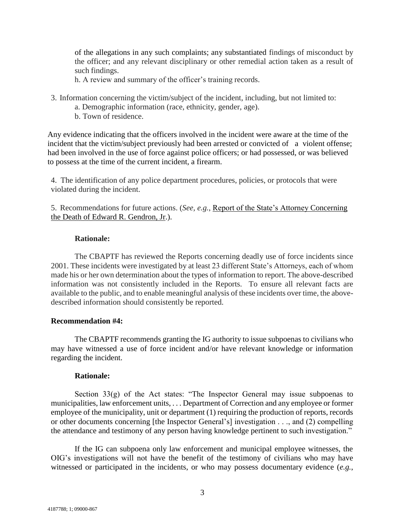of the allegations in any such complaints; any substantiated findings of misconduct by the officer; and any relevant disciplinary or other remedial action taken as a result of such findings.

h. A review and summary of the officer's training records.

- 3. Information concerning the victim/subject of the incident, including, but not limited to:
	- a. Demographic information (race, ethnicity, gender, age).
	- b. Town of residence.

Any evidence indicating that the officers involved in the incident were aware at the time of the incident that the victim/subject previously had been arrested or convicted of a violent offense; had been involved in the use of force against police officers; or had possessed, or was believed to possess at the time of the current incident, a firearm.

4. The identification of any police department procedures, policies, or protocols that were violated during the incident.

5. Recommendations for future actions. (*See, e.g.*, [Report of the State's Attorney](https://portal.ct.gov/DCJ/Whats-News/Reports-on-the-Use-of-Force-by-Peace-Officers/2020---January---Edward-Gendron---Waterbury) [Concerning](https://portal.ct.gov/DCJ/Whats-News/Reports-on-the-Use-of-Force-by-Peace-Officers/2020---January---Edward-Gendron---Waterbury)  [the Death of Edward R. Gendron,](https://portal.ct.gov/DCJ/Whats-News/Reports-on-the-Use-of-Force-by-Peace-Officers/2020---January---Edward-Gendron---Waterbury) Jr.).

## **Rationale:**

The CBAPTF has reviewed the Reports concerning deadly use of force incidents since 2001. These incidents were investigated by at least 23 different State's Attorneys, each of whom made his or her own determination about the types of information to report. The above-described information was not consistently included in the Reports. To ensure all relevant facts are available to the public, and to enable meaningful analysis of these incidents over time, the abovedescribed information should consistently be reported.

### **Recommendation #4:**

The CBAPTF recommends granting the IG authority to issue subpoenas to civilians who may have witnessed a use of force incident and/or have relevant knowledge or information regarding the incident.

### **Rationale:**

Section  $33(g)$  of the Act states: "The Inspector General may issue subpoenas to municipalities, law enforcement units, . . . Department of Correction and any employee or former employee of the municipality, unit or department (1) requiring the production of reports, records or other documents concerning [the Inspector General's] investigation . . ., and (2) compelling the attendance and testimony of any person having knowledge pertinent to such investigation."

If the IG can subpoena only law enforcement and municipal employee witnesses, the OIG's investigations will not have the benefit of the testimony of civilians who may have witnessed or participated in the incidents, or who may possess documentary evidence (*e.g.*,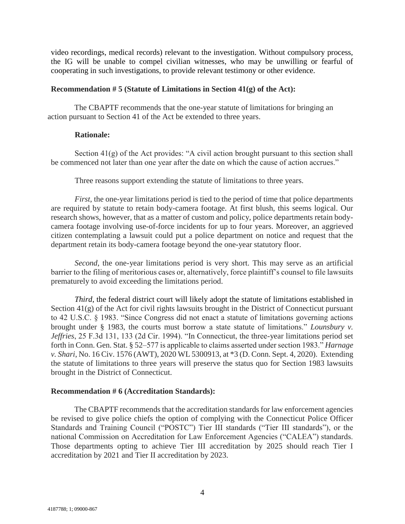video recordings, medical records) relevant to the investigation. Without compulsory process, the IG will be unable to compel civilian witnesses, who may be unwilling or fearful of cooperating in such investigations, to provide relevant testimony or other evidence.

#### **Recommendation # 5 (Statute of Limitations in Section 41(g) of the Act):**

The CBAPTF recommends that the one-year statute of limitations for bringing an action pursuant to Section 41 of the Act be extended to three years.

## **Rationale:**

Section  $41(g)$  of the Act provides: "A civil action brought pursuant to this section shall be commenced not later than one year after the date on which the cause of action accrues."

Three reasons support extending the statute of limitations to three years.

*First*, the one-year limitations period is tied to the period of time that police departments are required by statute to retain body-camera footage. At first blush, this seems logical. Our research shows, however, that as a matter of custom and policy, police departments retain bodycamera footage involving use-of-force incidents for up to four years. Moreover, an aggrieved citizen contemplating a lawsuit could put a police department on notice and request that the department retain its body-camera footage beyond the one-year statutory floor.

*Second*, the one-year limitations period is very short. This may serve as an artificial barrier to the filing of meritorious cases or, alternatively, force plaintiff's counsel to file lawsuits prematurely to avoid exceeding the limitations period.

*Third*, the federal district court will likely adopt the statute of limitations established in Section 41(g) of the Act for civil rights lawsuits brought in the District of Connecticut pursuant to 42 U.S.C. § 1983. "Since Congress did not enact a statute of limitations governing actions brought under § 1983, the courts must borrow a state statute of limitations." *Lounsbury v. Jeffries*, 25 F.3d 131, 133 (2d Cir. 1994). "In Connecticut, the three-year limitations period set forth in Conn. Gen. Stat. § 52–577 is applicable to claims asserted under section 1983." *Harnage v. Shari*, No. 16 Civ. 1576 (AWT), 2020 WL 5300913, at \*3 (D. Conn. Sept. 4, 2020). Extending the statute of limitations to three years will preserve the status quo for Section 1983 lawsuits brought in the District of Connecticut.

### **Recommendation # 6 (Accreditation Standards):**

The CBAPTF recommends that the accreditation standards for law enforcement agencies be revised to give police chiefs the option of complying with the Connecticut Police Officer Standards and Training Council ("POSTC") Tier III standards ("Tier III standards"), or the national Commission on Accreditation for Law Enforcement Agencies ("CALEA") standards. Those departments opting to achieve Tier III accreditation by 2025 should reach Tier I accreditation by 2021 and Tier II accreditation by 2023.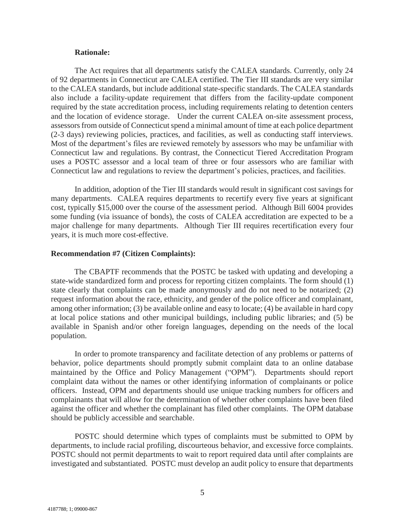#### **Rationale:**

The Act requires that all departments satisfy the CALEA standards. Currently, only 24 of 92 departments in Connecticut are CALEA certified. The Tier III standards are very similar to the CALEA standards, but include additional state-specific standards. The CALEA standards also include a facility-update requirement that differs from the facility-update component required by the state accreditation process, including requirements relating to detention centers and the location of evidence storage. Under the current CALEA on-site assessment process, assessors from outside of Connecticut spend a minimal amount of time at each police department (2-3 days) reviewing policies, practices, and facilities, as well as conducting staff interviews. Most of the department's files are reviewed remotely by assessors who may be unfamiliar with Connecticut law and regulations. By contrast, the Connecticut Tiered Accreditation Program uses a POSTC assessor and a local team of three or four assessors who are familiar with Connecticut law and regulations to review the department's policies, practices, and facilities.

In addition, adoption of the Tier III standards would result in significant cost savings for many departments. CALEA requires departments to recertify every five years at significant cost, typically \$15,000 over the course of the assessment period. Although Bill 6004 provides some funding (via issuance of bonds), the costs of CALEA accreditation are expected to be a major challenge for many departments. Although Tier III requires recertification every four years, it is much more cost-effective.

#### **Recommendation #7 (Citizen Complaints):**

The CBAPTF recommends that the POSTC be tasked with updating and developing a state-wide standardized form and process for reporting citizen complaints. The form should (1) state clearly that complaints can be made anonymously and do not need to be notarized; (2) request information about the race, ethnicity, and gender of the police officer and complainant, among other information; (3) be available online and easy to locate; (4) be available in hard copy at local police stations and other municipal buildings, including public libraries; and (5) be available in Spanish and/or other foreign languages, depending on the needs of the local population.

In order to promote transparency and facilitate detection of any problems or patterns of behavior, police departments should promptly submit complaint data to an online database maintained by the Office and Policy Management ("OPM"). Departments should report complaint data without the names or other identifying information of complainants or police officers. Instead, OPM and departments should use unique tracking numbers for officers and complainants that will allow for the determination of whether other complaints have been filed against the officer and whether the complainant has filed other complaints. The OPM database should be publicly accessible and searchable.

POSTC should determine which types of complaints must be submitted to OPM by departments, to include racial profiling, discourteous behavior, and excessive force complaints. POSTC should not permit departments to wait to report required data until after complaints are investigated and substantiated. POSTC must develop an audit policy to ensure that departments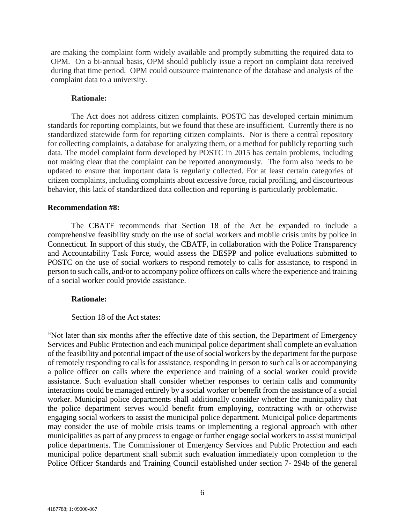are making the complaint form widely available and promptly submitting the required data to OPM. On a bi-annual basis, OPM should publicly issue a report on complaint data received during that time period. OPM could outsource maintenance of the database and analysis of the complaint data to a university.

## **Rationale:**

The Act does not address citizen complaints. POSTC has developed certain minimum standards for reporting complaints, but we found that these are insufficient. Currently there is no standardized statewide form for reporting citizen complaints. Nor is there a central repository for collecting complaints, a database for analyzing them, or a method for publicly reporting such data. The model complaint form developed by POSTC in 2015 has certain problems, including not making clear that the complaint can be reported anonymously. The form also needs to be updated to ensure that important data is regularly collected. For at least certain categories of citizen complaints, including complaints about excessive force, racial profiling, and discourteous behavior, this lack of standardized data collection and reporting is particularly problematic.

#### **Recommendation #8:**

The CBATF recommends that Section 18 of the Act be expanded to include a comprehensive feasibility study on the use of social workers and mobile crisis units by police in Connecticut. In support of this study, the CBATF, in collaboration with the Police Transparency and Accountability Task Force, would assess the DESPP and police evaluations submitted to POSTC on the use of social workers to respond remotely to calls for assistance, to respond in person to such calls, and/or to accompany police officers on calls where the experience and training of a social worker could provide assistance.

#### **Rationale:**

#### Section 18 of the Act states:

"Not later than six months after the effective date of this section, the Department of Emergency Services and Public Protection and each municipal police department shall complete an evaluation of the feasibility and potential impact of the use of social workers by the department for the purpose of remotely responding to calls for assistance, responding in person to such calls or accompanying a police officer on calls where the experience and training of a social worker could provide assistance. Such evaluation shall consider whether responses to certain calls and community interactions could be managed entirely by a social worker or benefit from the assistance of a social worker. Municipal police departments shall additionally consider whether the municipality that the police department serves would benefit from employing, contracting with or otherwise engaging social workers to assist the municipal police department. Municipal police departments may consider the use of mobile crisis teams or implementing a regional approach with other municipalities as part of any process to engage or further engage social workers to assist municipal police departments. The Commissioner of Emergency Services and Public Protection and each municipal police department shall submit such evaluation immediately upon completion to the Police Officer Standards and Training Council established under section 7- 294b of the general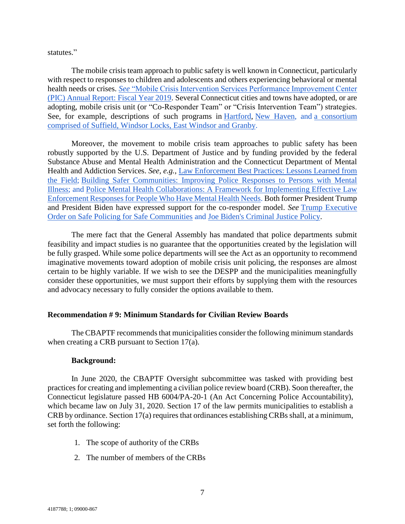statutes."

The mobile crisis team approach to public safety is well known in Connecticut, particularly with respect to responses to children and adolescents and others experiencing behavioral or mental health needs or crises. *See* ["Mobile Crisis Intervention Services Performance Improvement Center](https://www.empsct.org/wp-content/uploads/2019/09/Mobile-Crisis-Annual-FY2019-Report_FINAL.pdf)  [\(PIC\) Annual Report: Fiscal Year 2019.](https://www.empsct.org/wp-content/uploads/2019/09/Mobile-Crisis-Annual-FY2019-Report_FINAL.pdf) Several Connecticut cities and towns have adopted, or are adopting, mobile crisis unit (or "Co-Responder Team" or "Crisis Intervention Team") strategies. See, for example, descriptions of such programs in [Hartford,](https://www.nbcconnecticut.com/news/local/hartford-mayor-to-announce-civilian-crisis-response-team/2290039/) [New Haven,](https://www.fox61.com/article/news/local/new-haven-connecticut-crisis-response-police-911/520-c4592aaf-36c9-447b-aa11-7f21387f8f83) and [a consortium](https://www.cthousegop.com/zawistowski/reps-zawistowski-storms-join-local-police-officials-announce-north-central-regional-collaboration-address-mental-health-emergencies)  [comprised of Suffield, Windsor Locks, East Windsor and Granby.](https://www.cthousegop.com/zawistowski/reps-zawistowski-storms-join-local-police-officials-announce-north-central-regional-collaboration-address-mental-health-emergencies)

Moreover, the movement to mobile crisis team approaches to public safety has been robustly supported by the U.S. Department of Justice and by funding provided by the federal Substance Abuse and Mental Health Administration and the Connecticut Department of Mental Health and Addiction Services. *See, e.g.*, [Law Enforcement Best Practices: Lessons Learned from](https://www.google.com/search?q=law+enforcement+best+practices+lessons+learned+from+the+field&oq=Law+Enforcement+Best+Practices+&aqs=chrome.1.69i57j0i457j0i22i30.12397j1j7&sourceid=chrome&ie=UTF-8)  [the Field;](https://www.google.com/search?q=law+enforcement+best+practices+lessons+learned+from+the+field&oq=Law+Enforcement+Best+Practices+&aqs=chrome.1.69i57j0i457j0i22i30.12397j1j7&sourceid=chrome&ie=UTF-8) [Building Safer Communities: Improving Police Responses to Persons with Mental](https://www.theiacp.org/sites/default/files/2018-08/ImprovingPoliceResponsetoPersonsWithMentalIllnessSummit.pdf)  [Illness;](https://www.theiacp.org/sites/default/files/2018-08/ImprovingPoliceResponsetoPersonsWithMentalIllnessSummit.pdf) and [Police Mental Health Collaborations: A Framework for Implementing Effective Law](https://csgjusticecenter.org/publications/police-mental-health-collaborations-a-framework-for-implementing-effective-law-enforcement-responses-for-people-who-have-mental-health-needs/)  [Enforcement Responses for People Who Have Mental Health Needs.](https://csgjusticecenter.org/publications/police-mental-health-collaborations-a-framework-for-implementing-effective-law-enforcement-responses-for-people-who-have-mental-health-needs/) Both former President Trump and President Biden have expressed support for the co-responder model. *See* [Trump Executive](https://www.whitehouse.gov/presidential-actions/executive-order-safe-policing-safe-communities/)  [Order on Safe Policing for Safe Communities](https://www.whitehouse.gov/presidential-actions/executive-order-safe-policing-safe-communities/) and [Joe Biden's Criminal Justice Policy.](https://joebiden.com/justice/)

The mere fact that the General Assembly has mandated that police departments submit feasibility and impact studies is no guarantee that the opportunities created by the legislation will be fully grasped. While some police departments will see the Act as an opportunity to recommend imaginative movements toward adoption of mobile crisis unit policing, the responses are almost certain to be highly variable. If we wish to see the DESPP and the municipalities meaningfully consider these opportunities, we must support their efforts by supplying them with the resources and advocacy necessary to fully consider the options available to them.

# **Recommendation # 9: Minimum Standards for Civilian Review Boards**

The CBAPTF recommends that municipalities consider the following minimum standards when creating a CRB pursuant to Section 17(a).

### **Background:**

In June 2020, the CBAPTF Oversight subcommittee was tasked with providing best practices for creating and implementing a civilian police review board (CRB). Soon thereafter, the Connecticut legislature passed HB 6004/PA-20-1 (An Act Concerning Police Accountability), which became law on July 31, 2020. Section 17 of the law permits municipalities to establish a CRB by ordinance. Section 17(a) requires that ordinances establishing CRBs shall, at a minimum, set forth the following:

- 1. The scope of authority of the CRBs
- 2. The number of members of the CRBs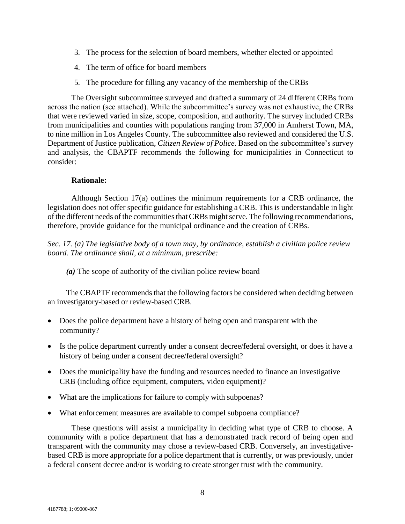- 3. The process for the selection of board members, whether elected or appointed
- 4. The term of office for board members
- 5. The procedure for filling any vacancy of the membership of the CRBs

The Oversight subcommittee surveyed and drafted a summary of 24 different CRBs from across the nation (see attached). While the subcommittee's survey was not exhaustive, the CRBs that were reviewed varied in size, scope, composition, and authority. The survey included CRBs from municipalities and counties with populations ranging from 37,000 in Amherst Town, MA, to nine million in Los Angeles County. The subcommittee also reviewed and considered the U.S. Department of Justice publication, *Citizen Review of Police*. Based on the subcommittee's survey and analysis, the CBAPTF recommends the following for municipalities in Connecticut to consider:

## **Rationale:**

Although Section 17(a) outlines the minimum requirements for a CRB ordinance, the legislation does not offer specific guidance for establishing a CRB. This is understandable in light of the different needs of the communities that CRBs might serve. The following recommendations, therefore, provide guidance for the municipal ordinance and the creation of CRBs.

*Sec. 17. (a) The legislative body of a town may, by ordinance, establish a civilian police review board. The ordinance shall, at a minimum, prescribe:*

*(a)* The scope of authority of the civilian police review board

The CBAPTF recommends that the following factors be considered when deciding between an investigatory-based or review-based CRB.

- Does the police department have a history of being open and transparent with the community?
- Is the police department currently under a consent decree/federal oversight, or does it have a history of being under a consent decree/federal oversight?
- Does the municipality have the funding and resources needed to finance an investigative CRB (including office equipment, computers, video equipment)?
- What are the implications for failure to comply with subpoenas?
- What enforcement measures are available to compel subpoena compliance?

These questions will assist a municipality in deciding what type of CRB to choose. A community with a police department that has a demonstrated track record of being open and transparent with the community may chose a review-based CRB. Conversely, an investigativebased CRB is more appropriate for a police department that is currently, or was previously, under a federal consent decree and/or is working to create stronger trust with the community.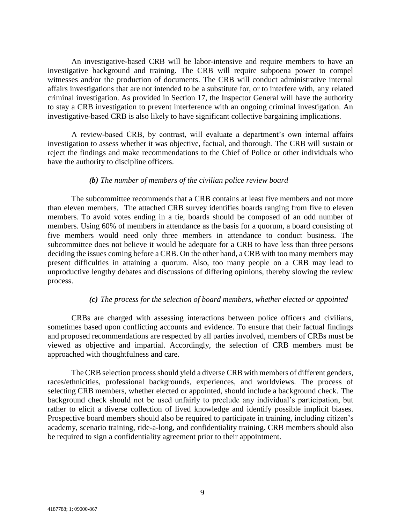An investigative-based CRB will be labor-intensive and require members to have an investigative background and training. The CRB will require subpoena power to compel witnesses and/or the production of documents. The CRB will conduct administrative internal affairs investigations that are not intended to be a substitute for, or to interfere with, any related criminal investigation. As provided in Section 17, the Inspector General will have the authority to stay a CRB investigation to prevent interference with an ongoing criminal investigation. An investigative-based CRB is also likely to have significant collective bargaining implications.

A review-based CRB, by contrast, will evaluate a department's own internal affairs investigation to assess whether it was objective, factual, and thorough. The CRB will sustain or reject the findings and make recommendations to the Chief of Police or other individuals who have the authority to discipline officers.

### *(b) The number of members of the civilian police review board*

The subcommittee recommends that a CRB contains at least five members and not more than eleven members. The attached CRB survey identifies boards ranging from five to eleven members. To avoid votes ending in a tie, boards should be composed of an odd number of members. Using 60% of members in attendance as the basis for a quorum, a board consisting of five members would need only three members in attendance to conduct business. The subcommittee does not believe it would be adequate for a CRB to have less than three persons deciding the issues coming before a CRB. On the other hand, a CRB with too many members may present difficulties in attaining a quorum. Also, too many people on a CRB may lead to unproductive lengthy debates and discussions of differing opinions, thereby slowing the review process.

### *(c) The process for the selection of board members, whether elected or appointed*

CRBs are charged with assessing interactions between police officers and civilians, sometimes based upon conflicting accounts and evidence. To ensure that their factual findings and proposed recommendations are respected by all parties involved, members of CRBs must be viewed as objective and impartial. Accordingly, the selection of CRB members must be approached with thoughtfulness and care.

The CRB selection process should yield a diverse CRB with members of different genders, races/ethnicities, professional backgrounds, experiences, and worldviews. The process of selecting CRB members, whether elected or appointed, should include a background check. The background check should not be used unfairly to preclude any individual's participation, but rather to elicit a diverse collection of lived knowledge and identify possible implicit biases. Prospective board members should also be required to participate in training, including citizen's academy, scenario training, ride-a-long, and confidentiality training. CRB members should also be required to sign a confidentiality agreement prior to their appointment.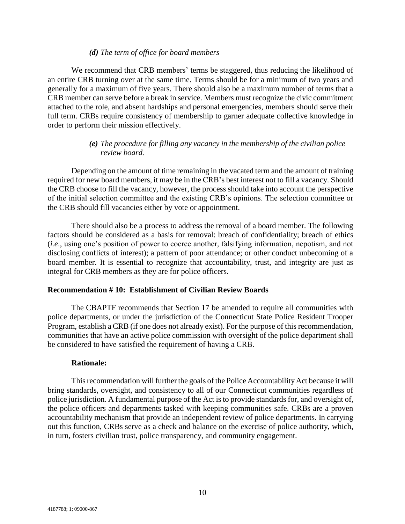## *(d) The term of office for board members*

We recommend that CRB members' terms be staggered, thus reducing the likelihood of an entire CRB turning over at the same time. Terms should be for a minimum of two years and generally for a maximum of five years. There should also be a maximum number of terms that a CRB member can serve before a break in service. Members must recognize the civic commitment attached to the role, and absent hardships and personal emergencies, members should serve their full term. CRBs require consistency of membership to garner adequate collective knowledge in order to perform their mission effectively.

# *(e) The procedure for filling any vacancy in the membership of the civilian police review board.*

Depending on the amount of time remaining in the vacated term and the amount of training required for new board members, it may be in the CRB's best interest not to fill a vacancy. Should the CRB choose to fill the vacancy, however, the process should take into account the perspective of the initial selection committee and the existing CRB's opinions. The selection committee or the CRB should fill vacancies either by vote or appointment.

There should also be a process to address the removal of a board member. The following factors should be considered as a basis for removal: breach of confidentiality; breach of ethics (*i.e*., using one's position of power to coerce another, falsifying information, nepotism, and not disclosing conflicts of interest); a pattern of poor attendance; or other conduct unbecoming of a board member. It is essential to recognize that accountability, trust, and integrity are just as integral for CRB members as they are for police officers.

### **Recommendation # 10: Establishment of Civilian Review Boards**

The CBAPTF recommends that Section 17 be amended to require all communities with police departments, or under the jurisdiction of the Connecticut State Police Resident Trooper Program, establish a CRB (if one does not already exist). For the purpose of this recommendation, communities that have an active police commission with oversight of the police department shall be considered to have satisfied the requirement of having a CRB.

### **Rationale:**

This recommendation will further the goals of the Police Accountability Act because it will bring standards, oversight, and consistency to all of our Connecticut communities regardless of police jurisdiction. A fundamental purpose of the Act is to provide standards for, and oversight of, the police officers and departments tasked with keeping communities safe. CRBs are a proven accountability mechanism that provide an independent review of police departments. In carrying out this function, CRBs serve as a check and balance on the exercise of police authority, which, in turn, fosters civilian trust, police transparency, and community engagement.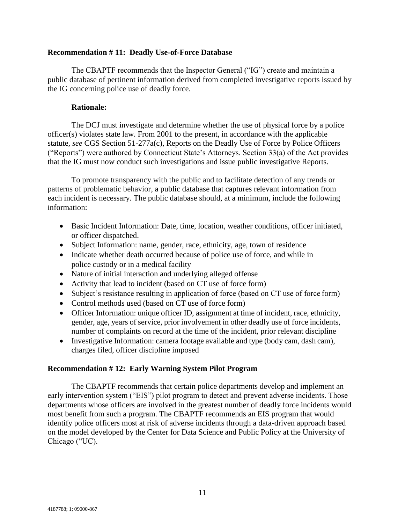## **Recommendation # 11: Deadly Use-of-Force Database**

The CBAPTF recommends that the Inspector General ("IG") create and maintain a public database of pertinent information derived from completed investigative reports issued by the IG concerning police use of deadly force.

# **Rationale:**

The DCJ must investigate and determine whether the use of physical force by a police officer(s) violates state law. From 2001 to the present, in accordance with the applicable statute*, see* CGS Section 51-277a(c), Reports on the Deadly Use of Force by Police Officers ("Reports") were authored by Connecticut State's Attorneys. Section 33(a) of the Act provides that the IG must now conduct such investigations and issue public investigative Reports.

To promote transparency with the public and to facilitate detection of any trends or patterns of problematic behavior, a public database that captures relevant information from each incident is necessary. The public database should, at a minimum, include the following information:

- Basic Incident Information: Date, time, location, weather conditions, officer initiated, or officer dispatched.
- Subject Information: name, gender, race, ethnicity, age, town of residence
- Indicate whether death occurred because of police use of force, and while in police custody or in a medical facility
- Nature of initial interaction and underlying alleged offense
- Activity that lead to incident (based on CT use of force form)
- Subject's resistance resulting in application of force (based on CT use of force form)
- Control methods used (based on CT use of force form)
- Officer Information: unique officer ID, assignment at time of incident, race, ethnicity, gender, age, years of service, prior involvement in other deadly use of force incidents, number of complaints on record at the time of the incident, prior relevant discipline
- Investigative Information: camera footage available and type (body cam, dash cam), charges filed, officer discipline imposed

# **Recommendation # 12: Early Warning System Pilot Program**

The CBAPTF recommends that certain police departments develop and implement an early intervention system ("EIS") pilot program to detect and prevent adverse incidents. Those departments whose officers are involved in the greatest number of deadly force incidents would most benefit from such a program. The CBAPTF recommends an EIS program that would identify police officers most at risk of adverse incidents through a data-driven approach based on the model developed by the Center for Data Science and Public Policy at the University of Chicago ("UC).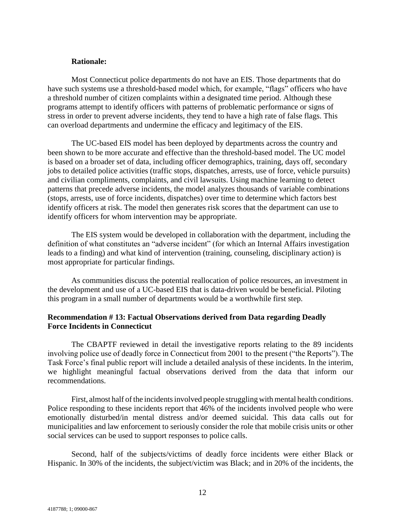# **Rationale:**

Most Connecticut police departments do not have an EIS. Those departments that do have such systems use a threshold-based model which, for example, "flags" officers who have a threshold number of citizen complaints within a designated time period. Although these programs attempt to identify officers with patterns of problematic performance or signs of stress in order to prevent adverse incidents, they tend to have a high rate of false flags. This can overload departments and undermine the efficacy and legitimacy of the EIS.

The UC-based EIS model has been deployed by departments across the country and been shown to be more accurate and effective than the threshold-based model. The UC model is based on a broader set of data, including officer demographics, training, days off, secondary jobs to detailed police activities (traffic stops, dispatches, arrests, use of force, vehicle pursuits) and civilian compliments, complaints, and civil lawsuits. Using machine learning to detect patterns that precede adverse incidents, the model analyzes thousands of variable combinations (stops, arrests, use of force incidents, dispatches) over time to determine which factors best identify officers at risk. The model then generates risk scores that the department can use to identify officers for whom intervention may be appropriate.

The EIS system would be developed in collaboration with the department, including the definition of what constitutes an "adverse incident" (for which an Internal Affairs investigation leads to a finding) and what kind of intervention (training, counseling, disciplinary action) is most appropriate for particular findings.

As communities discuss the potential reallocation of police resources, an investment in the development and use of a UC-based EIS that is data-driven would be beneficial. Piloting this program in a small number of departments would be a worthwhile first step.

# **Recommendation # 13: Factual Observations derived from Data regarding Deadly Force Incidents in Connecticut**

The CBAPTF reviewed in detail the investigative reports relating to the 89 incidents involving police use of deadly force in Connecticut from 2001 to the present ("the Reports").The Task Force's final public report will include a detailed analysis of these incidents. In the interim, we highlight meaningful factual observations derived from the data that inform our recommendations.

First, almost half of the incidents involved people struggling with mental health conditions. Police responding to these incidents report that 46% of the incidents involved people who were emotionally disturbed/in mental distress and/or deemed suicidal. This data calls out for municipalities and law enforcement to seriously consider the role that mobile crisis units or other social services can be used to support responses to police calls.

Second, half of the subjects/victims of deadly force incidents were either Black or Hispanic. In 30% of the incidents, the subject/victim was Black; and in 20% of the incidents, the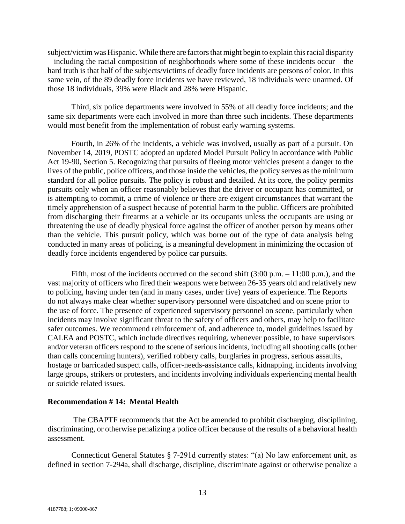subject/victim was Hispanic. While there are factors that might begin to explain this racial disparity – including the racial composition of neighborhoods where some of these incidents occur – the hard truth is that half of the subjects/victims of deadly force incidents are persons of color. In this same vein, of the 89 deadly force incidents we have reviewed, 18 individuals were unarmed. Of those 18 individuals, 39% were Black and 28% were Hispanic.

Third, six police departments were involved in 55% of all deadly force incidents; and the same six departments were each involved in more than three such incidents. These departments would most benefit from the implementation of robust early warning systems.

Fourth, in 26% of the incidents, a vehicle was involved, usually as part of a pursuit. On November 14, 2019, POSTC adopted an updated Model Pursuit Policy in accordance with Public Act 19-90, Section 5. Recognizing that pursuits of fleeing motor vehicles present a danger to the lives of the public, police officers, and those inside the vehicles, the policy serves as the minimum standard for all police pursuits. The policy is robust and detailed. At its core, the policy permits pursuits only when an officer reasonably believes that the driver or occupant has committed, or is attempting to commit, a crime of violence or there are exigent circumstances that warrant the timely apprehension of a suspect because of potential harm to the public. Officers are prohibited from discharging their firearms at a vehicle or its occupants unless the occupants are using or threatening the use of deadly physical force against the officer of another person by means other than the vehicle. This pursuit policy, which was borne out of the type of data analysis being conducted in many areas of policing, is a meaningful development in minimizing the occasion of deadly force incidents engendered by police car pursuits.

Fifth, most of the incidents occurred on the second shift  $(3:00 \text{ p.m.} - 11:00 \text{ p.m.})$ , and the vast majority of officers who fired their weapons were between 26-35 years old and relatively new to policing, having under ten (and in many cases, under five) years of experience. The Reports do not always make clear whether supervisory personnel were dispatched and on scene prior to the use of force. The presence of experienced supervisory personnel on scene, particularly when incidents may involve significant threat to the safety of officers and others, may help to facilitate safer outcomes. We recommend reinforcement of, and adherence to, model guidelines issued by CALEA and POSTC, which include directives requiring, whenever possible, to have supervisors and/or veteran officers respond to the scene of serious incidents, including all shooting calls (other than calls concerning hunters), verified robbery calls, burglaries in progress, serious assaults, hostage or barricaded suspect calls, officer-needs-assistance calls, kidnapping, incidents involving large groups, strikers or protesters, and incidents involving individuals experiencing mental health or suicide related issues.

### **Recommendation # 14: Mental Health**

The CBAPTF recommends that **t**he Act be amended to prohibit discharging, disciplining, discriminating, or otherwise penalizing a police officer because of the results of a behavioral health assessment.

Connecticut General Statutes § 7-291d currently states: "(a) No law enforcement unit, as defined in section 7-294a, shall discharge, discipline, discriminate against or otherwise penalize a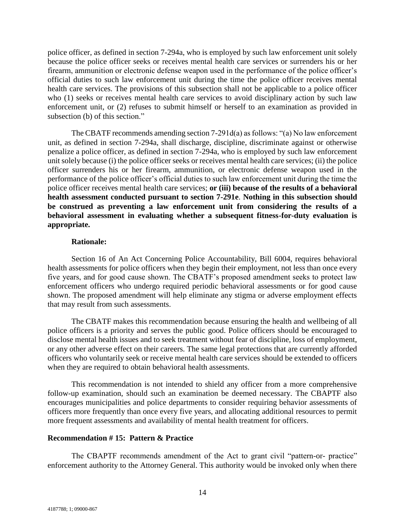police officer, as defined in section 7-294a, who is employed by such law enforcement unit solely because the police officer seeks or receives mental health care services or surrenders his or her firearm, ammunition or electronic defense weapon used in the performance of the police officer's official duties to such law enforcement unit during the time the police officer receives mental health care services. The provisions of this subsection shall not be applicable to a police officer who (1) seeks or receives mental health care services to avoid disciplinary action by such law enforcement unit, or (2) refuses to submit himself or herself to an examination as provided in subsection (b) of this section."

The CBATF recommends amending section 7-291d(a) as follows: "(a) No law enforcement unit, as defined in section 7-294a, shall discharge, discipline, discriminate against or otherwise penalize a police officer, as defined in section 7-294a, who is employed by such law enforcement unit solely because (i) the police officer seeks or receives mental health care services; (ii) the police officer surrenders his or her firearm, ammunition, or electronic defense weapon used in the performance of the police officer's official duties to such law enforcement unit during the time the police officer receives mental health care services; **or (iii) because of the results of a behavioral health assessment conducted pursuant to section 7-291e**. **Nothing in this subsection should be construed as preventing a law enforcement unit from considering the results of a behavioral assessment in evaluating whether a subsequent fitness-for-duty evaluation is appropriate.**

### **Rationale:**

Section 16 of An Act Concerning Police Accountability, Bill 6004, requires behavioral health assessments for police officers when they begin their employment, not less than once every five years, and for good cause shown. The CBATF's proposed amendment seeks to protect law enforcement officers who undergo required periodic behavioral assessments or for good cause shown. The proposed amendment will help eliminate any stigma or adverse employment effects that may result from such assessments.

The CBATF makes this recommendation because ensuring the health and wellbeing of all police officers is a priority and serves the public good. Police officers should be encouraged to disclose mental health issues and to seek treatment without fear of discipline, loss of employment, or any other adverse effect on their careers. The same legal protections that are currently afforded officers who voluntarily seek or receive mental health care services should be extended to officers when they are required to obtain behavioral health assessments.

This recommendation is not intended to shield any officer from a more comprehensive follow-up examination, should such an examination be deemed necessary. The CBAPTF also encourages municipalities and police departments to consider requiring behavior assessments of officers more frequently than once every five years, and allocating additional resources to permit more frequent assessments and availability of mental health treatment for officers.

### **Recommendation # 15: Pattern & Practice**

The CBAPTF recommends amendment of the Act to grant civil "pattern-or- practice" enforcement authority to the Attorney General. This authority would be invoked only when there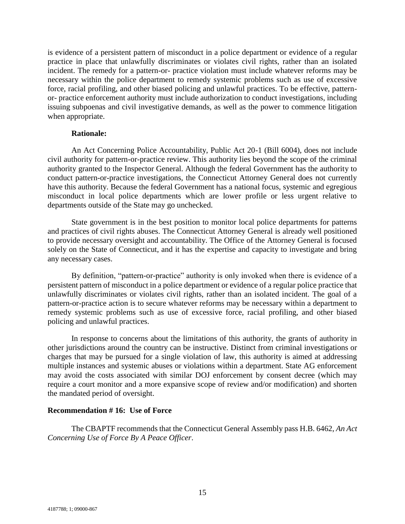is evidence of a persistent pattern of misconduct in a police department or evidence of a regular practice in place that unlawfully discriminates or violates civil rights, rather than an isolated incident. The remedy for a pattern-or- practice violation must include whatever reforms may be necessary within the police department to remedy systemic problems such as use of excessive force, racial profiling, and other biased policing and unlawful practices. To be effective, patternor- practice enforcement authority must include authorization to conduct investigations, including issuing subpoenas and civil investigative demands, as well as the power to commence litigation when appropriate.

## **Rationale:**

An Act Concerning Police Accountability, Public Act 20-1 (Bill 6004), does not include civil authority for pattern-or-practice review. This authority lies beyond the scope of the criminal authority granted to the Inspector General. Although the federal Government has the authority to conduct pattern-or-practice investigations, the Connecticut Attorney General does not currently have this authority. Because the federal Government has a national focus, systemic and egregious misconduct in local police departments which are lower profile or less urgent relative to departments outside of the State may go unchecked.

State government is in the best position to monitor local police departments for patterns and practices of civil rights abuses. The Connecticut Attorney General is already well positioned to provide necessary oversight and accountability. The Office of the Attorney General is focused solely on the State of Connecticut, and it has the expertise and capacity to investigate and bring any necessary cases.

By definition, "pattern-or-practice" authority is only invoked when there is evidence of a persistent pattern of misconduct in a police department or evidence of a regular police practice that unlawfully discriminates or violates civil rights, rather than an isolated incident. The goal of a pattern-or-practice action is to secure whatever reforms may be necessary within a department to remedy systemic problems such as use of excessive force, racial profiling, and other biased policing and unlawful practices.

In response to concerns about the limitations of this authority, the grants of authority in other jurisdictions around the country can be instructive. Distinct from criminal investigations or charges that may be pursued for a single violation of law, this authority is aimed at addressing multiple instances and systemic abuses or violations within a department. State AG enforcement may avoid the costs associated with similar DOJ enforcement by consent decree (which may require a court monitor and a more expansive scope of review and/or modification) and shorten the mandated period of oversight.

# **Recommendation # 16: Use of Force**

The CBAPTF recommends that the Connecticut General Assembly pass H.B. 6462, *An Act Concerning Use of Force By A Peace Officer*.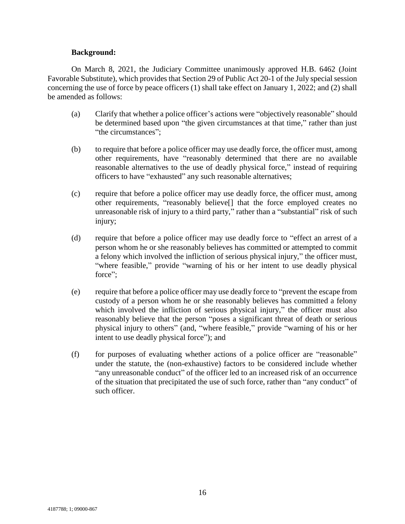## **Background:**

On March 8, 2021, the Judiciary Committee unanimously approved H.B. 6462 (Joint Favorable Substitute), which provides that Section 29 of Public Act 20-1 of the July special session concerning the use of force by peace officers (1) shall take effect on January 1, 2022; and (2) shall be amended as follows:

- (a) Clarify that whether a police officer's actions were "objectively reasonable" should be determined based upon "the given circumstances at that time," rather than just "the circumstances";
- (b) to require that before a police officer may use deadly force, the officer must, among other requirements, have "reasonably determined that there are no available reasonable alternatives to the use of deadly physical force," instead of requiring officers to have "exhausted" any such reasonable alternatives;
- (c) require that before a police officer may use deadly force, the officer must, among other requirements, "reasonably believe[] that the force employed creates no unreasonable risk of injury to a third party," rather than a "substantial" risk of such injury;
- (d) require that before a police officer may use deadly force to "effect an arrest of a person whom he or she reasonably believes has committed or attempted to commit a felony which involved the infliction of serious physical injury," the officer must, "where feasible," provide "warning of his or her intent to use deadly physical force":
- (e) require that before a police officer may use deadly force to "prevent the escape from custody of a person whom he or she reasonably believes has committed a felony which involved the infliction of serious physical injury," the officer must also reasonably believe that the person "poses a significant threat of death or serious physical injury to others" (and, "where feasible," provide "warning of his or her intent to use deadly physical force"); and
- (f) for purposes of evaluating whether actions of a police officer are "reasonable" under the statute, the (non-exhaustive) factors to be considered include whether "any unreasonable conduct" of the officer led to an increased risk of an occurrence of the situation that precipitated the use of such force, rather than "any conduct" of such officer.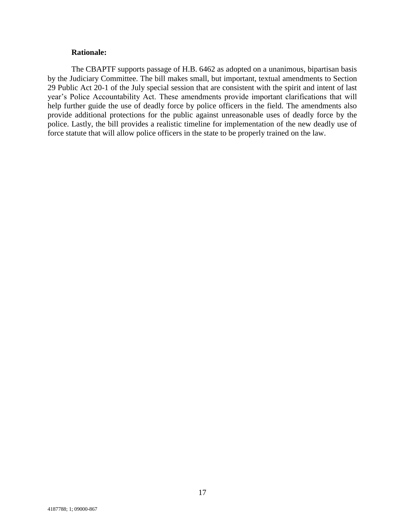# **Rationale:**

The CBAPTF supports passage of H.B. 6462 as adopted on a unanimous, bipartisan basis by the Judiciary Committee. The bill makes small, but important, textual amendments to Section 29 Public Act 20-1 of the July special session that are consistent with the spirit and intent of last year's Police Accountability Act. These amendments provide important clarifications that will help further guide the use of deadly force by police officers in the field. The amendments also provide additional protections for the public against unreasonable uses of deadly force by the police. Lastly, the bill provides a realistic timeline for implementation of the new deadly use of force statute that will allow police officers in the state to be properly trained on the law.